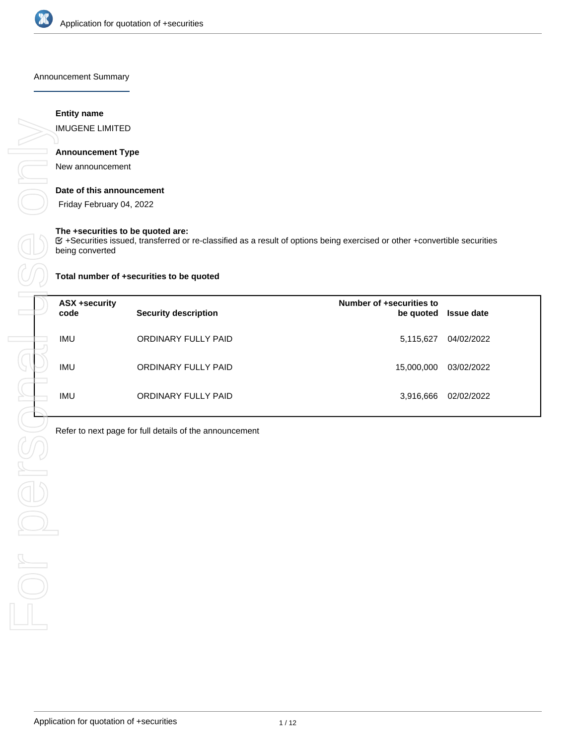

Announcement Summary

#### **Entity name**

IMUGENE LIMITED

# **Announcement Type**

New announcement

#### **Date of this announcement**

Friday February 04, 2022

#### **The +securities to be quoted are:**

+Securities issued, transferred or re-classified as a result of options being exercised or other +convertible securities

**Total number of +securities to be quoted**

| ASX +security<br>code | <b>Security description</b> | Number of +securities to<br>be quoted | <b>Issue date</b> |
|-----------------------|-----------------------------|---------------------------------------|-------------------|
| <b>IMU</b>            | ORDINARY FULLY PAID         | 5,115,627                             | 04/02/2022        |
| <b>IMU</b>            | ORDINARY FULLY PAID         | 15,000,000                            | 03/02/2022        |
| <b>IMU</b>            | ORDINARY FULLY PAID         | 3,916,666                             | 02/02/2022        |

Refer to next page for full details of the announcement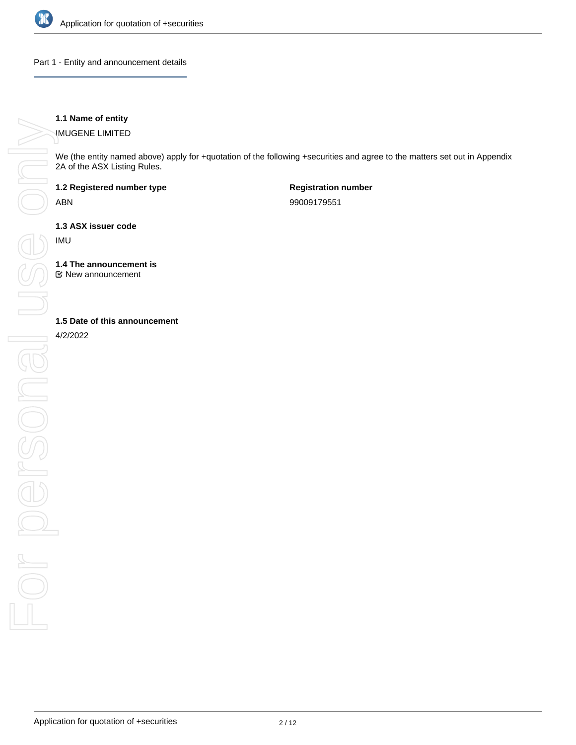

Part 1 - Entity and announcement details

## **1.1 Name of entity**

IMUGENE LIMITED

We (the entity named above) apply for +quotation of the following +securities and agree to the matters set out in Appendix 2A of the ASX Listing Rules.

**1.2 Registered number type**

ABN

**Registration number** 99009179551

**1.3 ASX issuer code**

IMU

**1.4 The announcement is**

New announcement

4/2/2022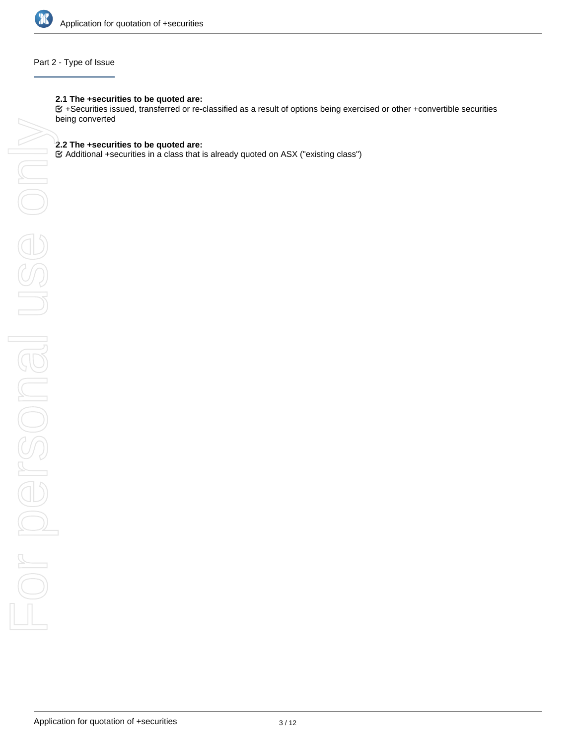

## Part 2 - Type of Issue

## **2.1 The +securities to be quoted are:**

+Securities issued, transferred or re-classified as a result of options being exercised or other +convertible securities

### **2.2 The +securities to be quoted are:**

Additional +securities in a class that is already quoted on ASX ("existing class")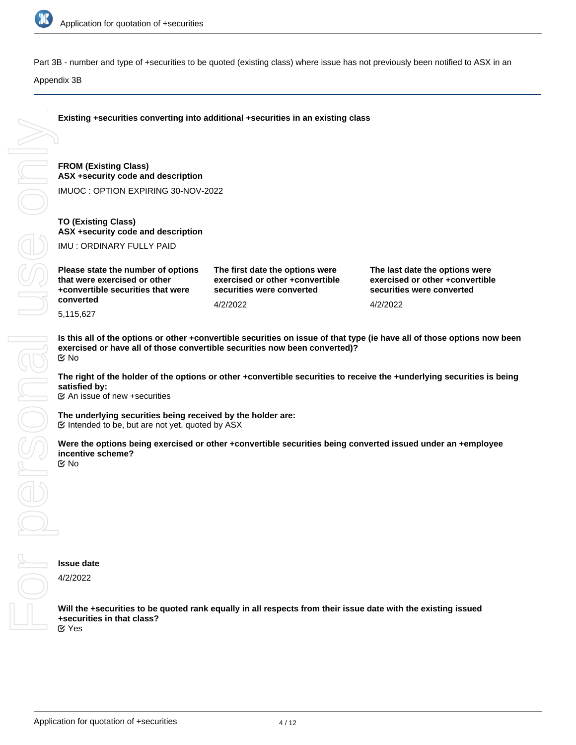

Part 3B - number and type of +securities to be quoted (existing class) where issue has not previously been notified to ASX in an

#### Appendix 3B

**Existing +securities converting into additional +securities in an existing class**

# **FROM (Existing Class) ASX +security code and description**

IMUOC : OPTION EXPIRING 30-NOV-2022

# **TO (Existing Class) ASX +security code and description**

IMU : ORDINARY FULLY PAID

| Please state the number of options<br>that were exercised or other<br>+convertible securities that were | The first date the options were<br>exercised or other +convertible<br>securities were converted | The last date the options were<br>exercised or other +convertible<br>securities were converted |
|---------------------------------------------------------------------------------------------------------|-------------------------------------------------------------------------------------------------|------------------------------------------------------------------------------------------------|
| converted                                                                                               | 4/2/2022                                                                                        | 4/2/2022                                                                                       |
| <b>E 11E 607</b>                                                                                        |                                                                                                 |                                                                                                |

5,115,627

**Is this all of the options or other +convertible securities on issue of that type (ie have all of those options now been exercised or have all of those convertible securities now been converted)?** No

**The right of the holder of the options or other +convertible securities to receive the +underlying securities is being satisfied by:**

 $\mathfrak{C}$  An issue of new +securities

**The underlying securities being received by the holder are:**  $\mathfrak S$  Intended to be, but are not yet, quoted by ASX

**Were the options being exercised or other +convertible securities being converted issued under an +employee incentive scheme?** No

#### **Issue date**

4/2/2022

**Will the +securities to be quoted rank equally in all respects from their issue date with the existing issued +securities in that class?** Yes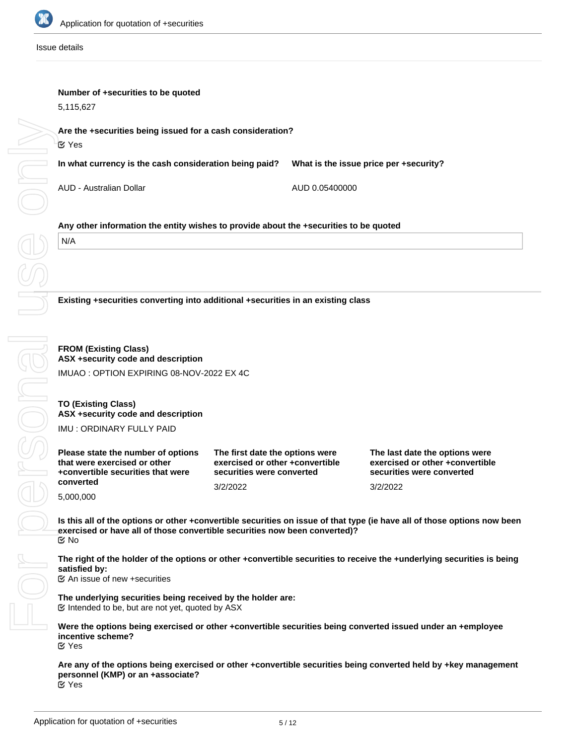

# **Number of +securities to be quoted** 5,115,627 For personal use only **Are the +securities being issued for a cash consideration? Yes**  $\mathbb{C} \oplus \mathbb{C}$ **In what currency is the cash consideration being paid? What is the issue price per +security?** AUD - Australian Dollar AUD 0.05400000 **Any other information the entity wishes to provide about the +securities to be quoted** N/A **Existing +securities converting into additional +securities in an existing class FROM (Existing Class)** ersona **ASX +security code and description** IMUAO : OPTION EXPIRING 08-NOV-2022 EX 4C **TO (Existing Class) ASX +security code and description** IMU : ORDINARY FULLY PAID **Please state the number of options The first date the options were that were exercised or other exercised or other +convertible +convertible securities that were securities were converted converted** 3/2/2022 5,000,000 **Is this all of the options or other +convertible securities on issue of that type (ie have all of those options now been exercised or have all of those convertible securities now been converted)?** No **The right of the holder of the options or other +convertible securities to receive the +underlying securities is being satisfied by:** An issue of new +securities **The underlying securities being received by the holder are:**

 $\mathfrak S$  Intended to be, but are not yet, quoted by ASX

**Were the options being exercised or other +convertible securities being converted issued under an +employee incentive scheme?** Yes

**Are any of the options being exercised or other +convertible securities being converted held by +key management personnel (KMP) or an +associate?** Yes

**The last date the options were exercised or other +convertible securities were converted**

3/2/2022

Application for quotation of +securities 5/12 **Provide details of the KMP or +associates who are exercising options or converting convertible securities**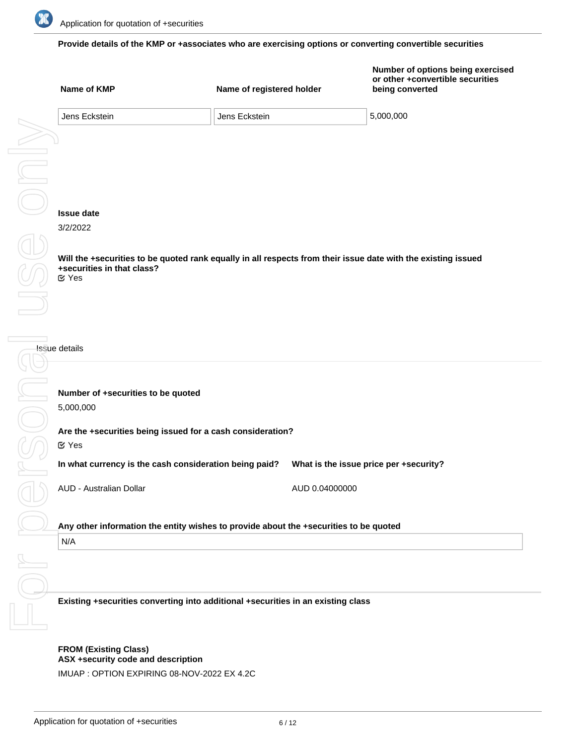

**Provide details of the KMP or +associates who are exercising options or converting convertible securities**

| Name of KMP                                                | Name of registered holder                                                                                     |                                        | Number of options being exercised<br>or other +convertible securities<br>being converted |
|------------------------------------------------------------|---------------------------------------------------------------------------------------------------------------|----------------------------------------|------------------------------------------------------------------------------------------|
| Jens Eckstein                                              | Jens Eckstein                                                                                                 |                                        | 5,000,000                                                                                |
|                                                            |                                                                                                               |                                        |                                                                                          |
|                                                            |                                                                                                               |                                        |                                                                                          |
|                                                            |                                                                                                               |                                        |                                                                                          |
| <b>Issue date</b>                                          |                                                                                                               |                                        |                                                                                          |
| 3/2/2022                                                   |                                                                                                               |                                        |                                                                                          |
|                                                            | Will the +securities to be quoted rank equally in all respects from their issue date with the existing issued |                                        |                                                                                          |
| +securities in that class?<br><b>E</b> Yes                 |                                                                                                               |                                        |                                                                                          |
|                                                            |                                                                                                               |                                        |                                                                                          |
|                                                            |                                                                                                               |                                        |                                                                                          |
|                                                            |                                                                                                               |                                        |                                                                                          |
| Issue details                                              |                                                                                                               |                                        |                                                                                          |
|                                                            |                                                                                                               |                                        |                                                                                          |
| Number of +securities to be quoted                         |                                                                                                               |                                        |                                                                                          |
| 5,000,000                                                  |                                                                                                               |                                        |                                                                                          |
| Are the +securities being issued for a cash consideration? |                                                                                                               |                                        |                                                                                          |
|                                                            |                                                                                                               |                                        |                                                                                          |
| <b>∉</b> Yes                                               | In what currency is the cash consideration being paid?                                                        | What is the issue price per +security? |                                                                                          |
| AUD - Australian Dollar                                    |                                                                                                               | AUD 0.04000000                         |                                                                                          |
|                                                            |                                                                                                               |                                        |                                                                                          |
|                                                            | Any other information the entity wishes to provide about the +securities to be quoted                         |                                        |                                                                                          |
| N/A                                                        |                                                                                                               |                                        |                                                                                          |
|                                                            |                                                                                                               |                                        |                                                                                          |
|                                                            |                                                                                                               |                                        |                                                                                          |

**FROM (Existing Class) ASX +security code and description**

IMUAP : OPTION EXPIRING 08-NOV-2022 EX 4.2C

**TO (Existing Class)**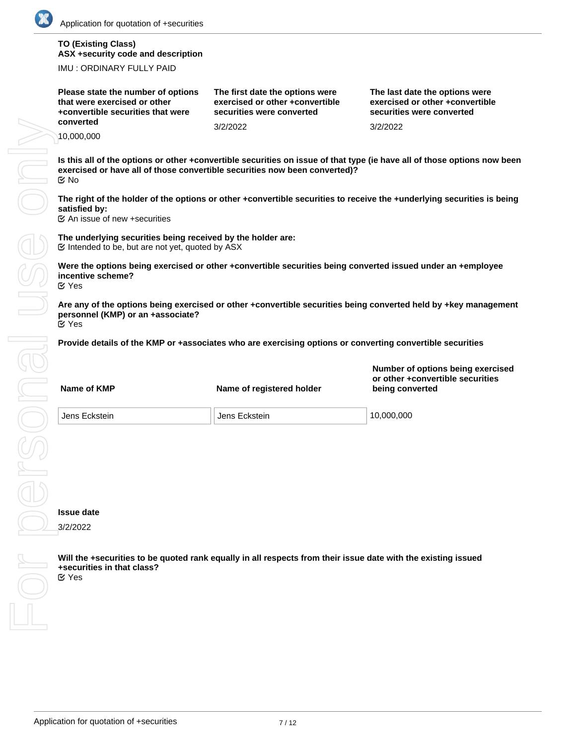IMU : ORDINARY FULLY PAID

**Please state the number of options that were exercised or other +convertible securities that were The first date the options were exercised or other +convertible securities were converted** 3/2/2022

**The last date the options were exercised or other +convertible securities were converted** 3/2/2022

**converted** 10,000,000

**Is this all of the options or other +convertible securities on issue of that type (ie have all of those options now been exercised or have all of those convertible securities now been converted)?** No

**The right of the holder of the options or other +convertible securities to receive the +underlying securities is being satisfied by:**

An issue of new +securities

**The underlying securities being received by the holder are:**  $\mathfrak S$  Intended to be, but are not yet, quoted by ASX

**Were the options being exercised or other +convertible securities being converted issued under an +employee incentive scheme?**

Yes

**Are any of the options being exercised or other +convertible securities being converted held by +key management personnel (KMP) or an +associate?** Yes

**Provide details of the KMP or +associates who are exercising options or converting convertible securities**

| Name of KMP   | Name of registered holder | Number of options being exercised<br>or other +convertible securities<br>being converted |
|---------------|---------------------------|------------------------------------------------------------------------------------------|
| Jens Eckstein | Jens Eckstein             | 10,000,000                                                                               |

#### **Issue date**

3/2/2022

**Will the +securities to be quoted rank equally in all respects from their issue date with the existing issued +securities in that class?** Yes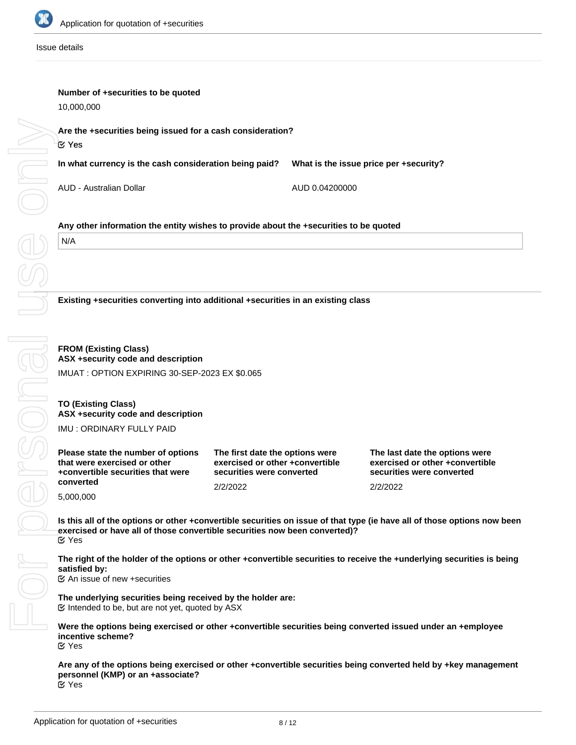

Issue details

# **Number of +securities to be quoted** 10,000,000 **Are the +securities being issued for a cash consideration? In what currency is the cash consideration being paid?** AUD - Australian Dollar **What is the issue price per +security?** AUD 0.04200000 **Any other information the entity wishes to provide about the +securities to be quoted** N/A **Existing +securities converting into additional +securities in an existing class FROM (Existing Class) ASX +security code and description** IMUAT : OPTION EXPIRING 30-SEP-2023 EX \$0.065 **TO (Existing Class) ASX +security code and description** IMU : ORDINARY FULLY PAID **Please state the number of options that were exercised or other +convertible securities that were converted** 5,000,000 **The first date the options were exercised or other +convertible securities were converted** 2/2/2022 **The last date the options were exercised or other +convertible securities were converted** 2/2/2022 **Is this all of the options or other +convertible securities on issue of that type (ie have all of those options now been exercised or have all of those convertible securities now been converted)?** Yes Yes

**The right of the holder of the options or other +convertible securities to receive the +underlying securities is being satisfied by:**

An issue of new +securities

**The underlying securities being received by the holder are:**  $\mathfrak S$  Intended to be, but are not yet, quoted by ASX

**Were the options being exercised or other +convertible securities being converted issued under an +employee incentive scheme?** Yes

**Are any of the options being exercised or other +convertible securities being converted held by +key management personnel (KMP) or an +associate?** Yes

For personal use only  $\mathbb{S} \oplus \mathbb{S}$ ersona

**Provide details of the KMP or +associates who are exercising options or converting convertible securities**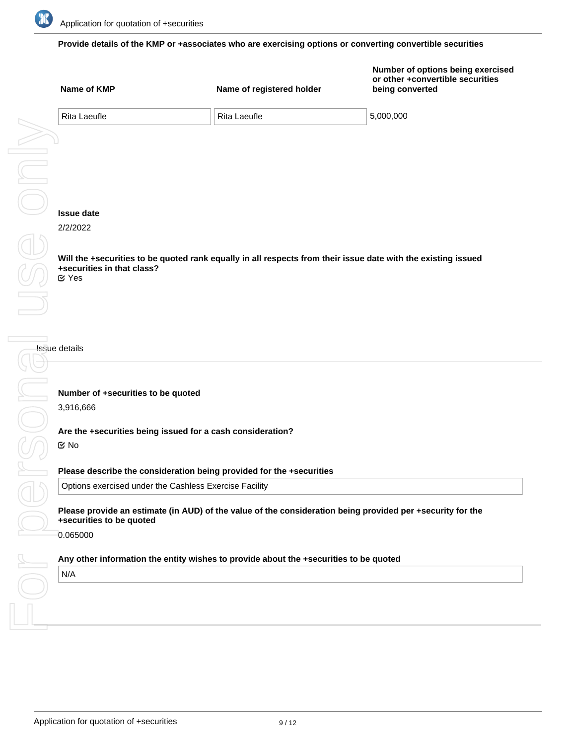

**Provide details of the KMP or +associates who are exercising options or converting convertible securities**

| Name of KMP                                                                                                                    | Name of registered holder                                                                                     | Number of options being exercised<br>or other +convertible securities<br>being converted |
|--------------------------------------------------------------------------------------------------------------------------------|---------------------------------------------------------------------------------------------------------------|------------------------------------------------------------------------------------------|
| Rita Laeufle                                                                                                                   | Rita Laeufle                                                                                                  | 5,000,000                                                                                |
|                                                                                                                                |                                                                                                               |                                                                                          |
| <b>Issue date</b>                                                                                                              |                                                                                                               |                                                                                          |
| 2/2/2022                                                                                                                       |                                                                                                               |                                                                                          |
| +securities in that class?<br><b>M</b> Yes                                                                                     | Will the +securities to be quoted rank equally in all respects from their issue date with the existing issued |                                                                                          |
|                                                                                                                                |                                                                                                               |                                                                                          |
| Number of +securities to be quoted<br>3,916,666                                                                                |                                                                                                               |                                                                                          |
|                                                                                                                                |                                                                                                               |                                                                                          |
|                                                                                                                                |                                                                                                               |                                                                                          |
|                                                                                                                                |                                                                                                               |                                                                                          |
|                                                                                                                                | Please describe the consideration being provided for the +securities                                          |                                                                                          |
| Options exercised under the Cashless Exercise Facility                                                                         |                                                                                                               |                                                                                          |
|                                                                                                                                | Please provide an estimate (in AUD) of the value of the consideration being provided per +security for the    |                                                                                          |
|                                                                                                                                |                                                                                                               |                                                                                          |
|                                                                                                                                | Any other information the entity wishes to provide about the +securities to be quoted                         |                                                                                          |
| Are the +securities being issued for a cash consideration?<br>$\mathfrak{C}$ No<br>+securities to be quoted<br>0.065000<br>N/A |                                                                                                               |                                                                                          |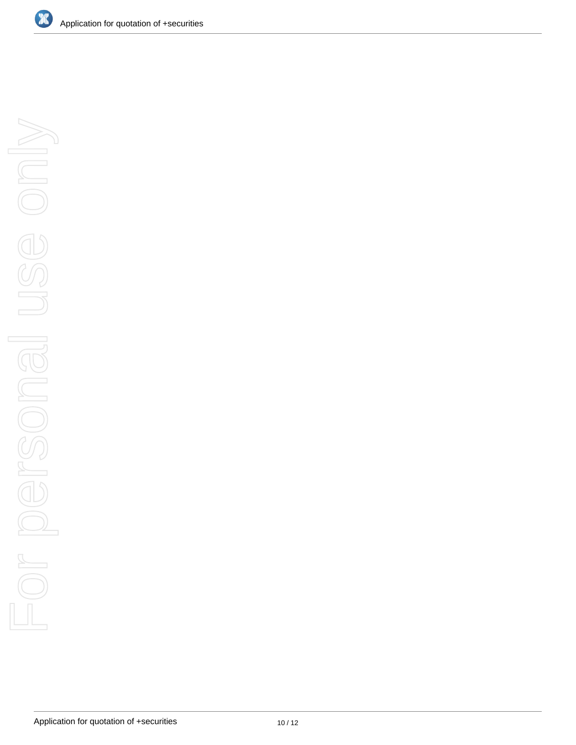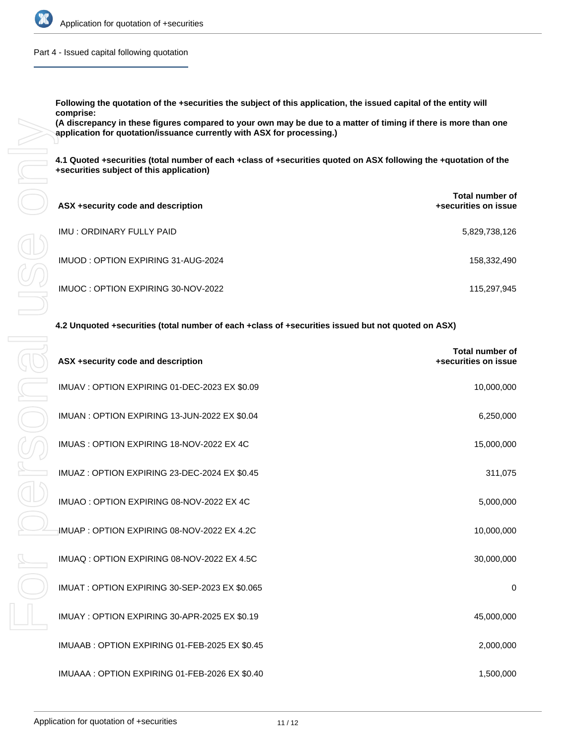

Part 4 - Issued capital following quotation

**Following the quotation of the +securities the subject of this application, the issued capital of the entity will comprise:**

**(A discrepancy in these figures compared to your own may be due to a matter of timing if there is more than one application for quotation/issuance currently with ASX for processing.)**

**4.1 Quoted +securities (total number of each +class of +securities quoted on ASX following the +quotation of the +securities subject of this application)**

| ASX +security code and description | <b>Total number of</b><br>+securities on issue |
|------------------------------------|------------------------------------------------|
| IMU: ORDINARY FULLY PAID           | 5,829,738,126                                  |
| IMUOD: OPTION EXPIRING 31-AUG-2024 | 158,332,490                                    |
| IMUOC: OPTION EXPIRING 30-NOV-2022 | 115,297,945                                    |

**4.2 Unquoted +securities (total number of each +class of +securities issued but not quoted on ASX)**

| ASX +security code and description            | <b>Total number of</b><br>+securities on issue |
|-----------------------------------------------|------------------------------------------------|
| IMUAV: OPTION EXPIRING 01-DEC-2023 EX \$0.09  | 10,000,000                                     |
| IMUAN : OPTION EXPIRING 13-JUN-2022 EX \$0.04 | 6,250,000                                      |
| IMUAS: OPTION EXPIRING 18-NOV-2022 EX 4C      | 15,000,000                                     |
| IMUAZ: OPTION EXPIRING 23-DEC-2024 EX \$0.45  | 311,075                                        |
| IMUAO: OPTION EXPIRING 08-NOV-2022 EX 4C      | 5,000,000                                      |
| IMUAP : OPTION EXPIRING 08-NOV-2022 EX 4.2C   | 10,000,000                                     |
| IMUAQ: OPTION EXPIRING 08-NOV-2022 EX 4.5C    | 30,000,000                                     |
| IMUAT: OPTION EXPIRING 30-SEP-2023 EX \$0.065 | $\Omega$                                       |
| IMUAY: OPTION EXPIRING 30-APR-2025 EX \$0.19  | 45,000,000                                     |
| IMUAAB: OPTION EXPIRING 01-FEB-2025 EX \$0.45 | 2,000,000                                      |
| IMUAAA: OPTION EXPIRING 01-FEB-2026 EX \$0.40 | 1,500,000                                      |